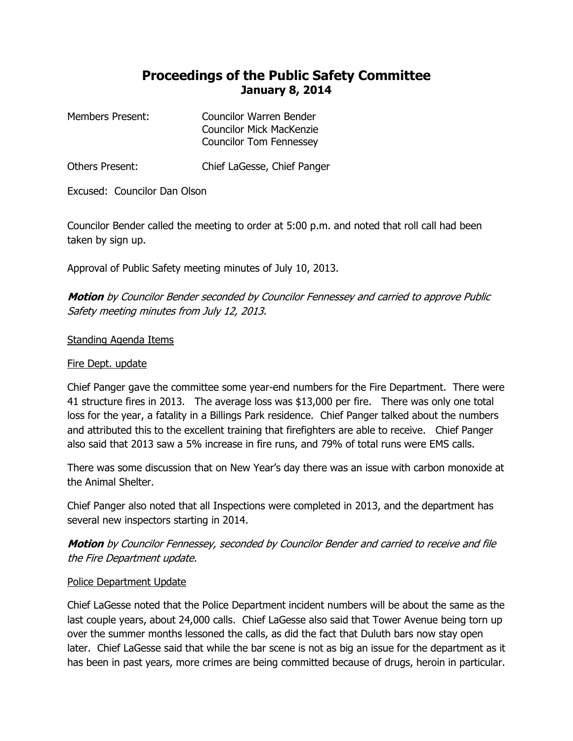## **Proceedings of the Public Safety Committee January 8, 2014**

| Members Present: | Councilor Warren Bender         |
|------------------|---------------------------------|
|                  | <b>Councilor Mick MacKenzie</b> |
|                  | <b>Councilor Tom Fennessey</b>  |

Others Present: Chief LaGesse, Chief Panger

Excused: Councilor Dan Olson

Councilor Bender called the meeting to order at 5:00 p.m. and noted that roll call had been taken by sign up.

Approval of Public Safety meeting minutes of July 10, 2013.

**Motion** by Councilor Bender seconded by Councilor Fennessey and carried to approve Public Safety meeting minutes from July 12, 2013.

## Standing Agenda Items

## Fire Dept. update

Chief Panger gave the committee some year-end numbers for the Fire Department. There were 41 structure fires in 2013. The average loss was \$13,000 per fire. There was only one total loss for the year, a fatality in a Billings Park residence. Chief Panger talked about the numbers and attributed this to the excellent training that firefighters are able to receive. Chief Panger also said that 2013 saw a 5% increase in fire runs, and 79% of total runs were EMS calls.

There was some discussion that on New Year's day there was an issue with carbon monoxide at the Animal Shelter.

Chief Panger also noted that all Inspections were completed in 2013, and the department has several new inspectors starting in 2014.

**Motion** by Councilor Fennessey, seconded by Councilor Bender and carried to receive and file the Fire Department update.

## Police Department Update

Chief LaGesse noted that the Police Department incident numbers will be about the same as the last couple years, about 24,000 calls. Chief LaGesse also said that Tower Avenue being torn up over the summer months lessoned the calls, as did the fact that Duluth bars now stay open later. Chief LaGesse said that while the bar scene is not as big an issue for the department as it has been in past years, more crimes are being committed because of drugs, heroin in particular.